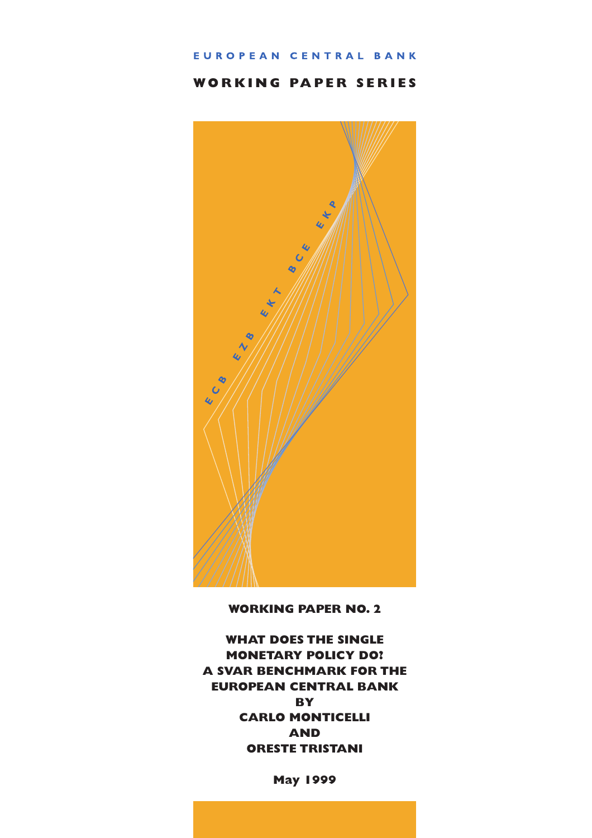#### EUROPEAN CENTRAL BANK

# **WORKING PAPER SERIES**



**WORKING PAPER NO. 2**

**WHAT DOES THE SINGLE MONETARY POLICY DO? A SVAR BENCHMARK FOR THE EUROPEAN CENTRAL BANK BY CARLO MONTICELLI AND ORESTE TRISTANI**

**May 1999**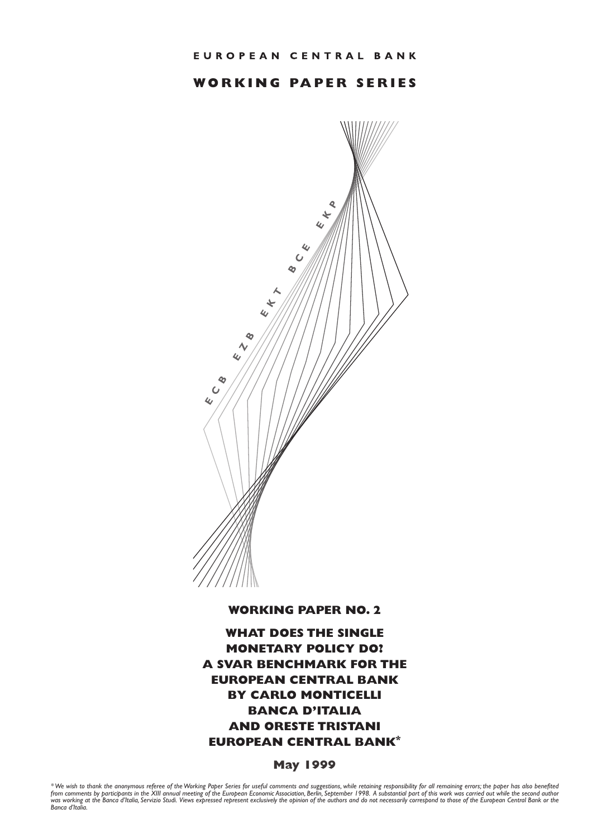# **WORKING PAPER SERIES**



**WORKING PAPER NO. 2**

**WHAT DOES THE SINGLE MONETARY POLICY DO? A SVAR BENCHMARK FOR THE EUROPEAN CENTRAL BANK BY CARLO MONTICELLI BANCA D'ITALIA AND ORESTE TRISTANI EUROPEAN CENTRAL BANK\***

**May 1999**

\* We wish to thank the anonymous referee of the Working Paper Series for useful comments and suggestions, while retaining responsibility for all remaining errors; the paper has also benefited<br>from comments by participants *was working at the Banca d'Italia, Servizio Studi. Views expressed represent exclusively the opinion of the authors and do not necessarily correspond to those of the European Central Bank or the Banca d'Italia.*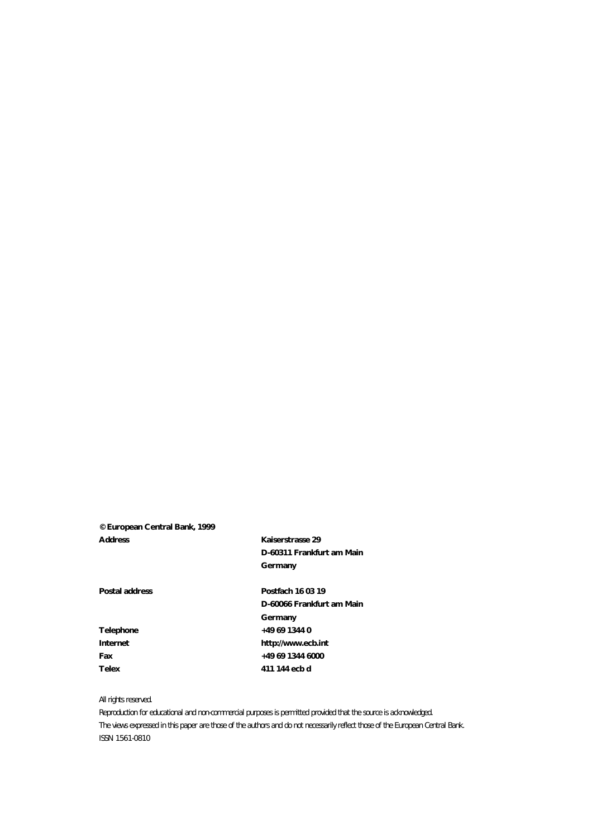#### **© European Central Bank, 1999 Address Kaiserstrasse 29**

**D-60311 Frankfurt am Main Germany**

Postal address **Postfach 16 03 19 D-60066 Frankfurt am Main Germany Telephone +49 69 1344 0 Internet http://www.ecb.int Fax +49 69 1344 6000 Telex 411 144 ecb d**

#### *All rights reserved.*

*Reproduction for educational and non-commercial purposes is permitted provided that the source is acknowledged. The views expressed in this paper are those of the authors and do not necessarily reflect those of the European Central Bank. ISSN 1561-0810*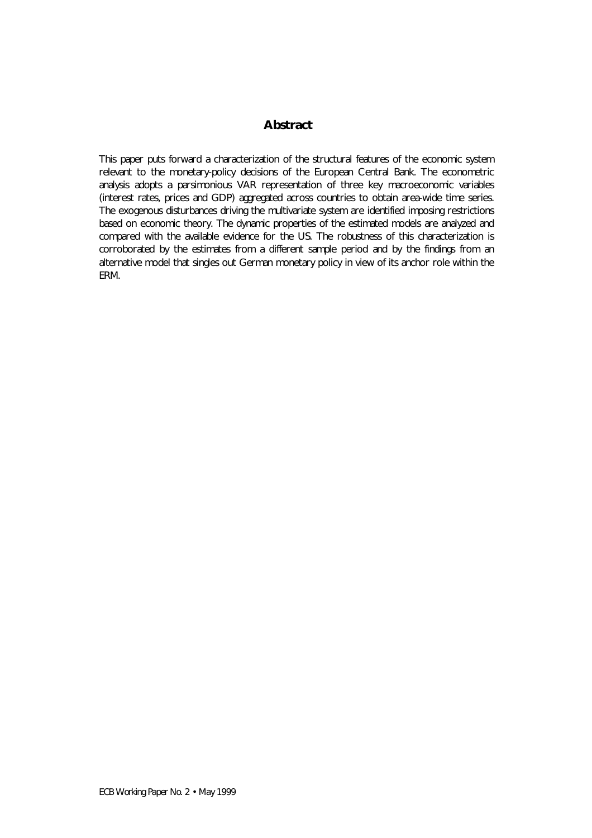# **Abstract**

This paper puts forward a characterization of the structural features of the economic system relevant to the monetary-policy decisions of the European Central Bank. The econometric analysis adopts a parsimonious VAR representation of three key macroeconomic variables (interest rates, prices and GDP) aggregated across countries to obtain area-wide time series. The exogenous disturbances driving the multivariate system are identified imposing restrictions based on economic theory. The dynamic properties of the estimated models are analyzed and compared with the available evidence for the US. The robustness of this characterization is corroborated by the estimates from a different sample period and by the findings from an alternative model that singles out German monetary policy in view of its anchor role within the ERM.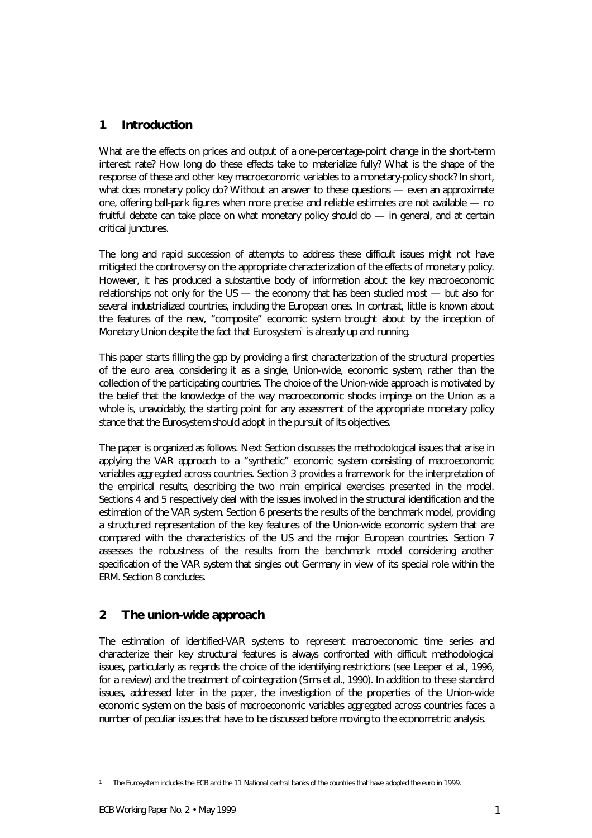# **1 Introduction**

What are the effects on prices and output of a one-percentage-point change in the short-term interest rate? How long do these effects take to materialize fully? What is the shape of the response of these and other key macroeconomic variables to a monetary-policy shock? In short, what *does* monetary policy do? Without an answer to these questions — even an approximate one, offering ball-park figures when more precise and reliable estimates are not available — no fruitful debate can take place on what monetary policy *should* do — in general, and at certain critical junctures.

The long and rapid succession of attempts to address these difficult issues might not have mitigated the controversy on the appropriate characterization of the effects of monetary policy. However, it has produced a substantive body of information about the key macroeconomic relationships not only for the US  $-$  the economy that has been studied most  $-$  but also for several industrialized countries, including the European ones. In contrast, little is known about the features of the new, "composite" economic system brought about by the inception of Monetary Union despite the fact that Eurosystem<sup>1</sup> is already up and running.

This paper starts filling the gap by providing a first characterization of the structural properties of the euro area, considering it as a single, Union-wide, economic system, rather than the collection of the participating countries. The choice of the Union-wide approach is motivated by the belief that the knowledge of the way macroeconomic shocks impinge on the Union as a whole is, *unavoidably*, the starting point for any assessment of the appropriate monetary policy stance that the Eurosystem should adopt in the pursuit of its objectives.

The paper is organized as follows. Next Section discusses the methodological issues that arise in applying the VAR approach to a "synthetic" economic system consisting of macroeconomic variables aggregated across countries. Section 3 provides a framework for the interpretation of the empirical results, describing the two main empirical exercises presented in the model. Sections 4 and 5 respectively deal with the issues involved in the structural identification and the estimation of the VAR system. Section 6 presents the results of the benchmark model, providing a structured representation of the key features of the Union-wide economic system that are compared with the characteristics of the US and the major European countries. Section 7 assesses the robustness of the results from the benchmark model considering another specification of the VAR system that singles out Germany in view of its special role within the ERM. Section 8 concludes.

# **2 The union-wide approach**

The estimation of identified-VAR systems to represent macroeconomic time series and characterize their key structural features is always confronted with difficult methodological issues, particularly as regards the choice of the identifying restrictions (see Leeper *et al*., 1996, for a review) and the treatment of cointegration (Sims *et al*., 1990). In addition to these standard issues, addressed later in the paper, the investigation of the properties of the Union-wide economic system on the basis of macroeconomic variables aggregated across countries faces a number of peculiar issues that have to be discussed before moving to the econometric analysis.

*<sup>1</sup> The Eurosystem includes the ECB and the 11 National central banks of the countries that have adopted the euro in 1999.*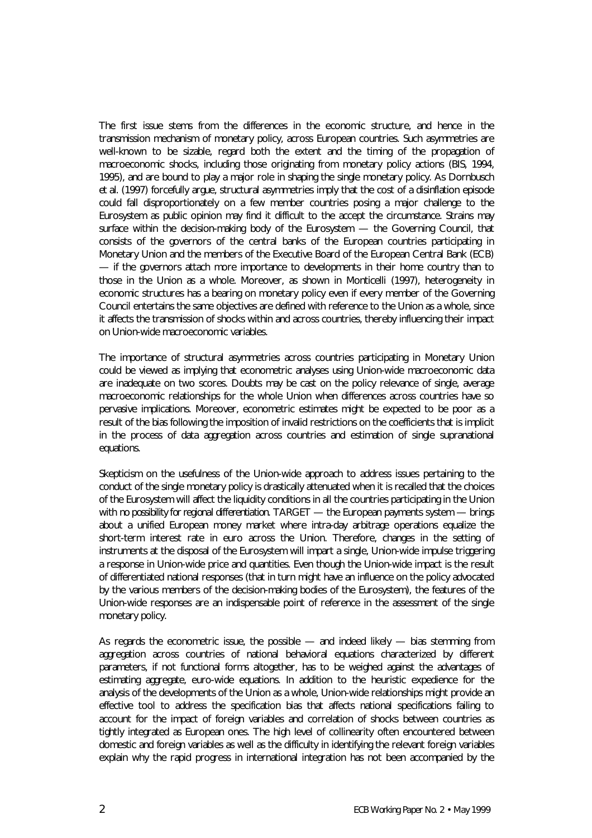The first issue stems from the differences in the economic structure, and hence in the transmission mechanism of monetary policy, across European countries. Such asymmetries are well-known to be sizable, regard both the extent and the timing of the propagation of macroeconomic shocks, including those originating from monetary policy actions (BIS, 1994, 1995), and are bound to play a major role in shaping the single monetary policy. As Dornbusch *et al*. (1997) forcefully argue, structural asymmetries imply that the cost of a disinflation episode could fall disproportionately on a few member countries posing a major challenge to the Eurosystem as public opinion may find it difficult to the accept the circumstance. Strains may surface within the decision-making body of the Eurosystem - the Governing Council, that consists of the governors of the central banks of the European countries participating in Monetary Union and the members of the Executive Board of the European Central Bank (ECB) — if the governors attach more importance to developments in their home country than to those in the Union as a whole. Moreover, as shown in Monticelli (1997), heterogeneity in economic structures has a bearing on monetary policy even if every member of the Governing Council entertains the same objectives are defined with reference to the Union as a whole, since it affects the transmission of shocks within and across countries, thereby influencing their impact on Union-wide macroeconomic variables.

The importance of structural asymmetries across countries participating in Monetary Union could be viewed as implying that econometric analyses using Union-wide macroeconomic data are inadequate on two scores. Doubts may be cast on the policy relevance of single, average macroeconomic relationships for the whole Union when differences across countries have so pervasive implications. Moreover, econometric estimates might be expected to be poor as a result of the bias following the imposition of invalid restrictions on the coefficients that is implicit in the process of data aggregation across countries and estimation of single supranational equations.

Skepticism on the usefulness of the Union-wide approach to address issues pertaining to the conduct of the single monetary policy is drastically attenuated when it is recalled that the choices of the Eurosystem will affect the liquidity conditions in all the countries participating in the Union with *no possibility for regional differentiation*. TARGET — the European payments system — brings about a unified European money market where intra-day arbitrage operations equalize the short-term interest rate in euro across the Union. Therefore, changes in the setting of instruments at the disposal of the Eurosystem will impart a single, Union-wide impulse triggering a response in Union-wide price and quantities. Even though the Union-wide impact is the result of differentiated national responses (that in turn might have an influence on the policy advocated by the various members of the decision-making bodies of the Eurosystem), the features of the Union-wide responses are an indispensable point of reference in the assessment of the single monetary policy.

As regards the econometric issue, the possible — and indeed likely — bias stemming from aggregation across countries of national behavioral equations characterized by different parameters, if not functional forms altogether, has to be weighed against the advantages of estimating aggregate, euro-wide equations. In addition to the heuristic expedience for the analysis of the developments of the Union as a whole, Union-wide relationships might provide an effective tool to address the specification bias that affects national specifications failing to account for the impact of foreign variables and correlation of shocks between countries as tightly integrated as European ones. The high level of collinearity often encountered between domestic and foreign variables as well as the difficulty in identifying the relevant foreign variables explain why the rapid progress in international integration has not been accompanied by the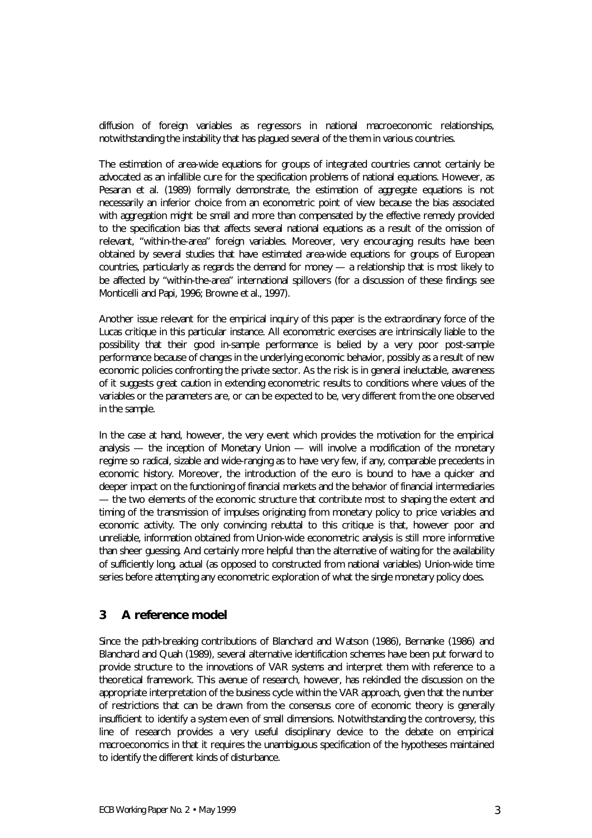diffusion of foreign variables as regressors in national macroeconomic relationships, notwithstanding the instability that has plagued several of the them in various countries.

The estimation of area-wide equations for groups of integrated countries cannot certainly be advocated as an infallible cure for the specification problems of national equations. However, as Pesaran *et al*. (1989) formally demonstrate, the estimation of aggregate equations is not necessarily an inferior choice from an econometric point of view because the bias associated with aggregation might be small and more than compensated by the effective remedy provided to the specification bias that affects several national equations as a result of the omission of relevant, "within-the-area" foreign variables. Moreover, very encouraging results have been obtained by several studies that have estimated area-wide equations for groups of European countries, particularly as regards the demand for money — a relationship that is most likely to be affected by "within-the-area" international spillovers (for a discussion of these findings see Monticelli and Papi, 1996; Browne *et al*., 1997).

Another issue relevant for the empirical inquiry of this paper is the extraordinary force of the Lucas critique in this particular instance. All econometric exercises are intrinsically liable to the possibility that their good in-sample performance is belied by a very poor post-sample performance because of changes in the underlying economic behavior, possibly as a result of new economic policies confronting the private sector. As the risk is in general ineluctable, awareness of it suggests great caution in extending econometric results to conditions where values of the variables or the parameters are, or can be expected to be, very different from the one observed in the sample.

In the case at hand, however, the very event which provides the motivation for the empirical analysis — the inception of Monetary Union — will involve a modification of the monetary regime so radical, sizable and wide-ranging as to have very few, if any, comparable precedents in economic history. Moreover, the introduction of the euro is bound to have a quicker and deeper impact on the functioning of financial markets and the behavior of financial intermediaries — the two elements of the economic structure that contribute most to shaping the extent and timing of the transmission of impulses originating from monetary policy to price variables and economic activity. The only convincing rebuttal to this critique is that, however poor and unreliable, information obtained from Union-wide econometric analysis is still more informative than sheer guessing. And certainly more helpful than the alternative of waiting for the availability of sufficiently long, *actual* (as opposed to constructed from national variables) Union-wide time series before attempting any econometric exploration of what the *single* monetary policy does.

# **3 A reference model**

Since the path-breaking contributions of Blanchard and Watson (1986), Bernanke (1986) and Blanchard and Quah (1989), several alternative identification schemes have been put forward to provide structure to the innovations of VAR systems and interpret them with reference to a theoretical framework. This avenue of research, however, has rekindled the discussion on the appropriate interpretation of the business cycle within the VAR approach, given that the number of restrictions that can be drawn from the consensus core of economic theory is generally insufficient to identify a system even of small dimensions. Notwithstanding the controversy, this line of research provides a very useful disciplinary device to the debate on empirical macroeconomics in that it requires the unambiguous specification of the hypotheses maintained to identify the different kinds of disturbance.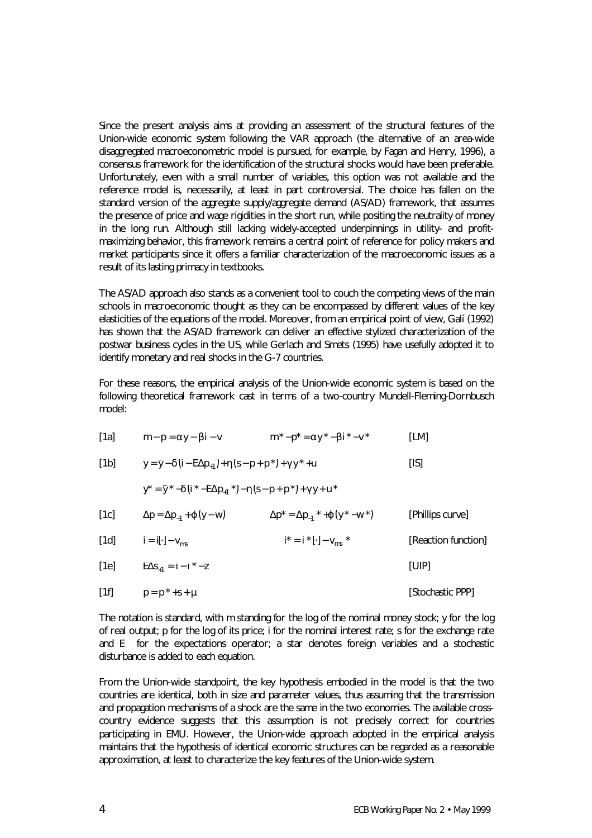Since the present analysis aims at providing an assessment of the structural features of the Union-wide economic system following the VAR approach (the alternative of an area-wide disaggregated macroeconometric model is pursued, for example, by Fagan and Henry, 1996), a consensus framework for the identification of the structural shocks would have been preferable. Unfortunately, even with a small number of variables, this option was not available and the reference model is, necessarily, at least in part controversial. The choice has fallen on the standard version of the aggregate supply/aggregate demand (AS/AD) framework, that assumes the presence of price and wage rigidities in the short run, while positing the neutrality of money in the long run. Although still lacking widely-accepted underpinnings in utility- and profitmaximizing behavior, this framework remains a central point of reference for policy makers and market participants since it offers a familiar characterization of the macroeconomic issues as a result of its lasting primacy in textbooks.

The AS/AD approach also stands as a convenient tool to couch the competing views of the main schools in macroeconomic thought as they can be encompassed by different values of the key elasticities of the equations of the model. Moreover, from an empirical point of view, Galí (1992) has shown that the AS/AD framework can deliver an effective stylized characterization of the postwar business cycles in the US, while Gerlach and Smets (1995) have usefully adopted it to identify monetary and real shocks in the G-7 countries.

For these reasons, the empirical analysis of the Union-wide economic system is based on the following theoretical framework cast in terms of a two-country Mundell-Fleming-Dornbusch model:

| [1a] | $m-p = ay-bi-v$ | $m^* - p^* = ay^* - bi^* - v^*$ | [LM] |
|------|-----------------|---------------------------------|------|
|      |                 |                                 |      |

| [1b]<br>$y = \bar{y} - d(i - E\Delta p_{+1}) + h(s - p + p^{*}) + gy^{*} + u$ | [IS] |
|-------------------------------------------------------------------------------|------|
|-------------------------------------------------------------------------------|------|

 $y^* = \overline{y}^* - d(i^* - E\Delta p_{+1}^*) - h(s - p + p^*) + gy + u^*$ 

| [1c]<br>$\Delta p^* = \Delta p_{-1}^*$ + $\boldsymbol{j}$ $(y^* - w^*)$<br>$\Delta p = \Delta p_{-1} + \boldsymbol{j} \ (y - w)$<br>[Phillips curve] |  |
|------------------------------------------------------------------------------------------------------------------------------------------------------|--|
|------------------------------------------------------------------------------------------------------------------------------------------------------|--|

| [1d]<br>$i^* = i^* [\cdot] - v_{ms}^*$<br>[Reaction function]<br>$i = i[\cdot] - v_{ms}$ |  |
|------------------------------------------------------------------------------------------|--|
|------------------------------------------------------------------------------------------|--|

 $[1e]$   $E\Delta s_{+1} = i - i^* - z$ [UIP] [1f] *p* = *p* \* +*s* + *m* [Stochastic PPP]

The notation is standard, with *m* standing for the log of the nominal money stock; *y* for the log of real output; *p* for the log of its price; *i* for the nominal interest rate; *s* for the exchange rate and *E* for the expectations operator; a star denotes foreign variables and a stochastic disturbance is added to each equation.

From the Union-wide standpoint, the key hypothesis embodied in the model is that the two countries are identical, both in size and parameter values, thus assuming that the transmission and propagation mechanisms of a shock are the same in the two economies. The available crosscountry evidence suggests that this assumption is not precisely correct for countries participating in EMU. However, the Union-wide approach adopted in the empirical analysis maintains that the hypothesis of identical economic structures can be regarded as a reasonable approximation, at least to characterize the key features of the Union-wide system.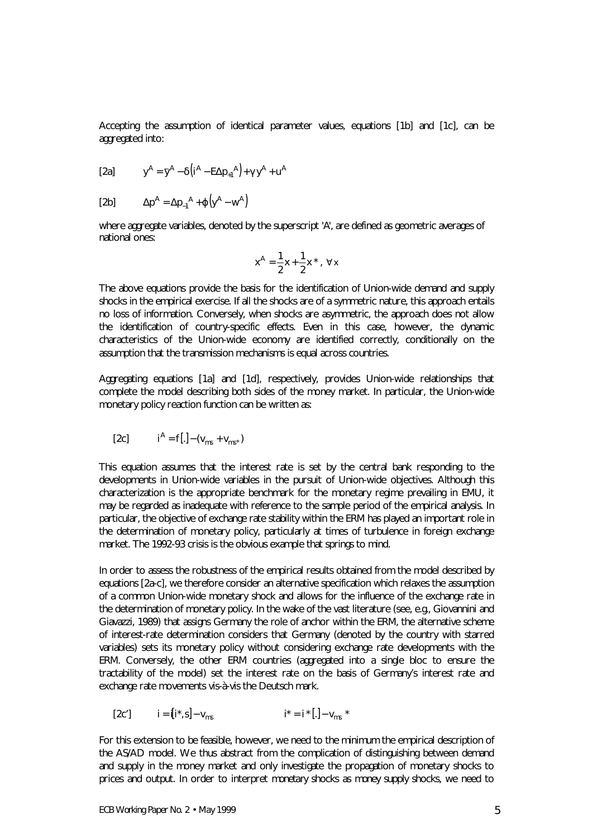Accepting the assumption of identical parameter values, equations [1b] and [1c], can be aggregated into:

[2a] 
$$
y^A = \overline{y}^A - \mathbf{d}(\overline{t}^A - E\Delta p_{+1}{}^A) + \mathbf{g}y^A + u^A
$$

$$
[2b] \qquad \Delta p^A = \Delta p_{-1}^A + \mathbf{j} \left( y^A - w^A \right)
$$

where aggregate variables, denoted by the superscript '*A*', are defined as geometric averages of national ones:

$$
x^A = \frac{1}{2}x + \frac{1}{2}x^\star, \ \forall x
$$

The above equations provide the basis for the identification of Union-wide demand and supply shocks in the empirical exercise. If all the shocks are of a symmetric nature, this approach entails no loss of information. Conversely, when shocks are asymmetric, the approach does not allow the identification of country-specific effects. Even in this case, however, the dynamic characteristics of the Union-wide economy are identified correctly, conditionally on the assumption that the transmission mechanisms is equal across countries.

Aggregating equations [1a] and [1d], respectively, provides Union-wide relationships that complete the model describing both sides of the money market. In particular, the Union-wide monetary policy reaction function can be written as:

[2c] 
$$
i^A = f[.] - (v_{ms} + v_{ms}^*)
$$

This equation assumes that the interest rate is set by the central bank responding to the developments in Union-wide variables in the pursuit of Union-wide objectives. Although this characterization is the appropriate benchmark for the monetary regime prevailing in EMU, it may be regarded as inadequate with reference to the sample period of the empirical analysis. In particular, the objective of exchange rate stability within the ERM has played an important role in the determination of monetary policy, particularly at times of turbulence in foreign exchange market. The 1992-93 crisis is the obvious example that springs to mind.

In order to assess the robustness of the empirical results obtained from the model described by equations [2a-c], we therefore consider an alternative specification which relaxes the assumption of a common Union-wide monetary shock and allows for the influence of the exchange rate in the determination of monetary policy. In the wake of the vast literature (see, e.g., Giovannini and Giavazzi, 1989) that assigns Germany the role of anchor within the ERM, the alternative scheme of interest-rate determination considers that Germany (denoted by the country with starred variables) sets its monetary policy without considering exchange rate developments with the ERM. Conversely, the other ERM countries (aggregated into a single bloc to ensure the tractability of the model) set the interest rate on the basis of Germany's interest rate and exchange rate movements vis-à-vis the Deutsch mark.

[2c'] 
$$
i = [i^*, s] - v_{ms}
$$
  $i^* = i^* [.] - v_{ms}^*$ 

For this extension to be feasible, however, we need to the minimum the empirical description of the AS/AD model. We thus abstract from the complication of distinguishing between demand and supply in the money market and only investigate the propagation of monetary shocks to prices and output. In order to interpret *monetary* shocks as *money supply* shocks, we need to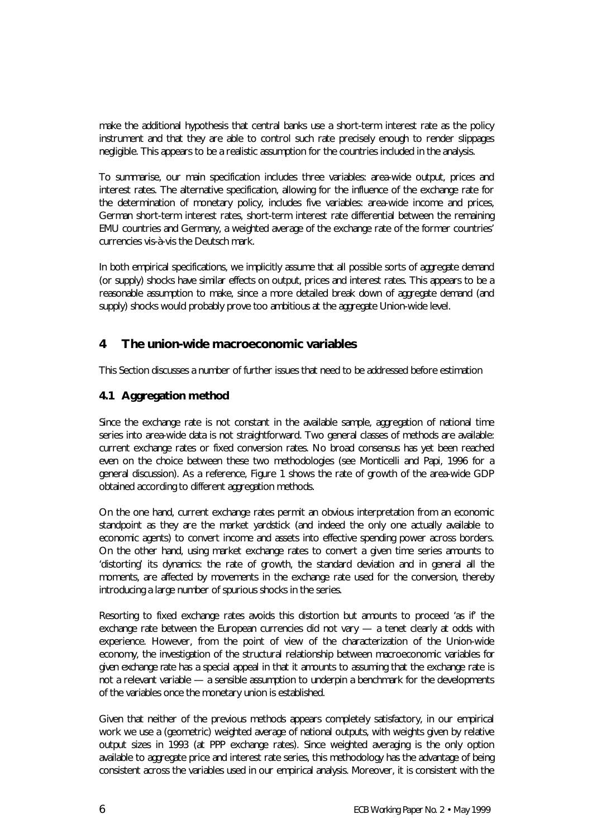make the additional hypothesis that central banks use a short-term interest rate as the policy instrument and that they are able to control such rate precisely enough to render slippages negligible. This appears to be a realistic assumption for the countries included in the analysis.

To summarise, our main specification includes three variables: area-wide output, prices and interest rates. The alternative specification, allowing for the influence of the exchange rate for the determination of monetary policy, includes five variables: area-wide income and prices, German short-term interest rates, short-term interest rate differential between the remaining EMU countries and Germany, a weighted average of the exchange rate of the former countries' currencies vis-à-vis the Deutsch mark.

In both empirical specifications, we implicitly assume that all possible sorts of aggregate demand (or supply) shocks have similar effects on output, prices and interest rates. This appears to be a reasonable assumption to make, since a more detailed break down of aggregate demand (and supply) shocks would probably prove too ambitious at the aggregate Union-wide level.

# **4 The union-wide macroeconomic variables**

This Section discusses a number of further issues that need to be addressed before estimation

### **4.1 Aggregation method**

Since the exchange rate is not constant in the available sample, aggregation of national time series into area-wide data is not straightforward. Two general classes of methods are available: current exchange rates or fixed conversion rates. No broad consensus has yet been reached even on the choice between these two methodologies (see Monticelli and Papi, 1996 for a general discussion). As a reference, Figure 1 shows the rate of growth of the area-wide GDP obtained according to different aggregation methods.

On the one hand, current exchange rates permit an obvious interpretation from an economic standpoint as they are the market yardstick (and indeed the only one actually available to economic agents) to convert income and assets into effective spending power across borders. On the other hand, using market exchange rates to convert a given time series amounts to 'distorting' its dynamics: the rate of growth, the standard deviation and in general all the moments, are affected by movements in the exchange rate used for the conversion, thereby introducing a large number of spurious shocks in the series.

Resorting to fixed exchange rates avoids this distortion but amounts to proceed 'as if' the exchange rate between the European currencies did not vary — a tenet clearly at odds with experience. However, from the point of view of the characterization of the Union-wide economy, the investigation of the structural relationship between macroeconomic variables *for given exchange rate* has a special appeal in that it amounts to assuming that the exchange rate is not a relevant variable — a sensible assumption to underpin a benchmark for the developments of the variables once the monetary union is established.

Given that neither of the previous methods appears completely satisfactory, in our empirical work we use a (geometric) weighted average of national outputs, with weights given by relative output sizes in 1993 (at PPP exchange rates). Since weighted averaging is the only option available to aggregate price and interest rate series, this methodology has the advantage of being consistent across the variables used in our empirical analysis. Moreover, it is consistent with the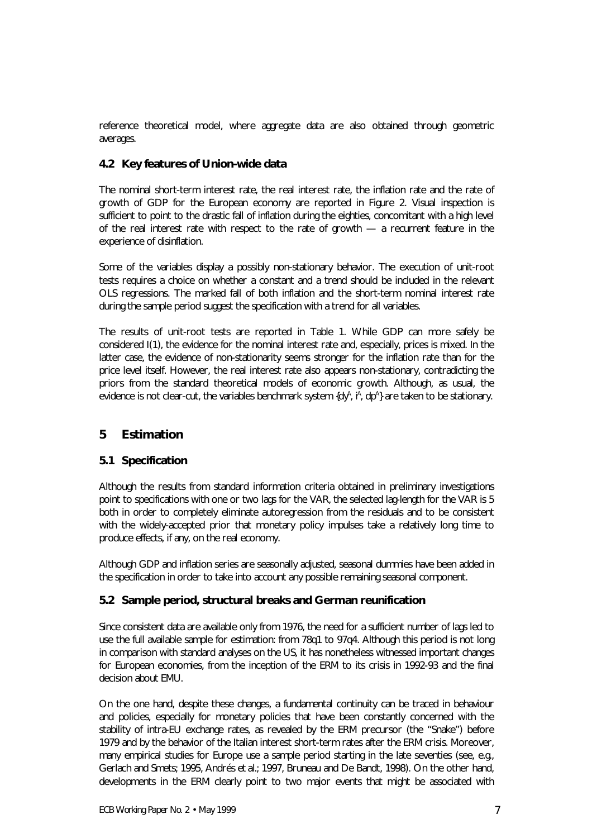reference theoretical model, where aggregate data are also obtained through geometric averages.

#### **4.2 Key features of Union-wide data**

The nominal short-term interest rate, the real interest rate, the inflation rate and the rate of growth of GDP for the European economy are reported in Figure 2. Visual inspection is sufficient to point to the drastic fall of inflation during the eighties, concomitant with a high level of the real interest rate with respect to the rate of growth  $-$  a recurrent feature in the experience of disinflation.

Some of the variables display a possibly non-stationary behavior. The execution of unit-root tests requires a choice on whether a constant and a trend should be included in the relevant OLS regressions. The marked fall of both inflation and the short-term nominal interest rate during the sample period suggest the specification with a trend for all variables.

The results of unit-root tests are reported in Table 1. While GDP can more safely be considered I(1), the evidence for the nominal interest rate and, especially, prices is mixed. In the latter case, the evidence of non-stationarity seems stronger for the inflation rate than for the price level itself. However, the real interest rate also appears non-stationary, contradicting the priors from the standard theoretical models of economic growth. Although, as usual, the evidence is not clear-cut, the variables benchmark system {dy<sup>A</sup>,  $^A$ , dp<sup>A</sup>} are taken to be stationary.

# **5 Estimation**

#### **5.1 Specification**

Although the results from standard information criteria obtained in preliminary investigations point to specifications with one or two lags for the VAR, the selected lag-length for the VAR is 5 both in order to completely eliminate autoregression from the residuals and to be consistent with the widely-accepted prior that monetary policy impulses take a relatively long time to produce effects, if any, on the real economy.

Although GDP and inflation series are seasonally adjusted, seasonal dummies have been added in the specification in order to take into account any possible remaining seasonal component.

#### **5.2 Sample period, structural breaks and German reunification**

Since consistent data are available only from 1976, the need for a sufficient number of lags led to use the full available sample for estimation: from 78q1 to 97q4. Although this period is not long in comparison with standard analyses on the US, it has nonetheless witnessed important changes for European economies, from the inception of the ERM to its crisis in 1992-93 and the final decision about EMU.

On the one hand, despite these changes, a fundamental continuity can be traced in behaviour and policies, especially for monetary policies that have been constantly concerned with the stability of intra-EU exchange rates, as revealed by the ERM precursor (the "Snake") before 1979 and by the behavior of the Italian interest short-term rates after the ERM crisis. Moreover, many empirical studies for Europe use a sample period starting in the late seventies (see, e.g., Gerlach and Smets; 1995, Andrés *et al.*; 1997, Bruneau and De Bandt, 1998). On the other hand, developments in the ERM clearly point to two major events that might be associated with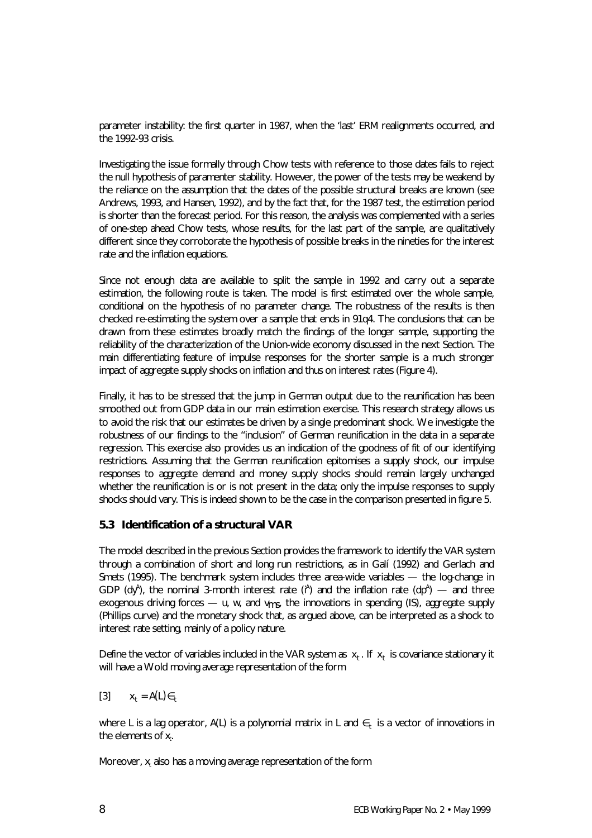parameter instability: the first quarter in 1987, when the 'last' ERM realignments occurred, and the 1992-93 crisis.

Investigating the issue formally through Chow tests with reference to those dates fails to reject the null hypothesis of paramenter stability. However, the power of the tests may be weakend by the reliance on the assumption that the dates of the possible structural breaks are known (see Andrews, 1993, and Hansen, 1992), and by the fact that, for the 1987 test, the estimation period is shorter than the forecast period. For this reason, the analysis was complemented with a series of one-step ahead Chow tests, whose results, for the last part of the sample, are qualitatively different since they corroborate the hypothesis of possible breaks in the nineties for the interest rate and the inflation equations.

Since not enough data are available to split the sample in 1992 and carry out a separate estimation, the following route is taken. The model is first estimated over the whole sample, conditional on the hypothesis of no parameter change. The robustness of the results is then checked re-estimating the system over a sample that ends in 91q4. The conclusions that can be drawn from these estimates broadly match the findings of the longer sample, supporting the reliability of the characterization of the Union-wide economy discussed in the next Section. The main differentiating feature of impulse responses for the shorter sample is a much stronger impact of aggregate supply shocks on inflation and thus on interest rates (Figure 4).

Finally, it has to be stressed that the jump in German output due to the reunification has been smoothed out from GDP data in our main estimation exercise. This research strategy allows us to avoid the risk that our estimates be driven by a single predominant shock. We investigate the robustness of our findings to the "inclusion" of German reunification in the data in a separate regression. This exercise also provides us an indication of the goodness of fit of our identifying restrictions. Assuming that the German reunification epitomises a supply shock, our impulse responses to aggregate demand and money supply shocks should remain largely unchanged whether the reunification is or is not present in the data; only the impulse responses to supply shocks should vary. This is indeed shown to be the case in the comparison presented in figure 5.

#### **5.3 Identification of a structural VAR**

The model described in the previous Section provides the framework to identify the VAR system through a combination of short and long run restrictions, as in Galí (1992) and Gerlach and Smets (1995). The benchmark system includes three area-wide variables — the log-change in GDP (dy<sup>A</sup>), the nominal 3-month interest rate ( $A$ <sup> $A$ </sup>) and the inflation rate (dp<sup>A</sup>) — and three exogenous driving forces  $- u$ , w, and  $v_{ms}$ , the innovations in spending (IS), aggregate supply (Phillips curve) and the monetary shock that, as argued above, can be interpreted as a shock to interest rate setting, mainly of a policy nature.

Define the vector of variables included in the VAR system as  $x_t$ . If  $x_t$  is covariance stationary it will have a Wold moving average representation of the form

$$
[3] \qquad x_t = A(L) \in t
$$

where *L* is a lag operator, *A*(*L*) is a polynomial matrix in *L* and ∈*<sup>t</sup>* is a vector of innovations in the elements of *x<sup>t</sup>* .

Moreover,  $x_t$  also has a moving average representation of the form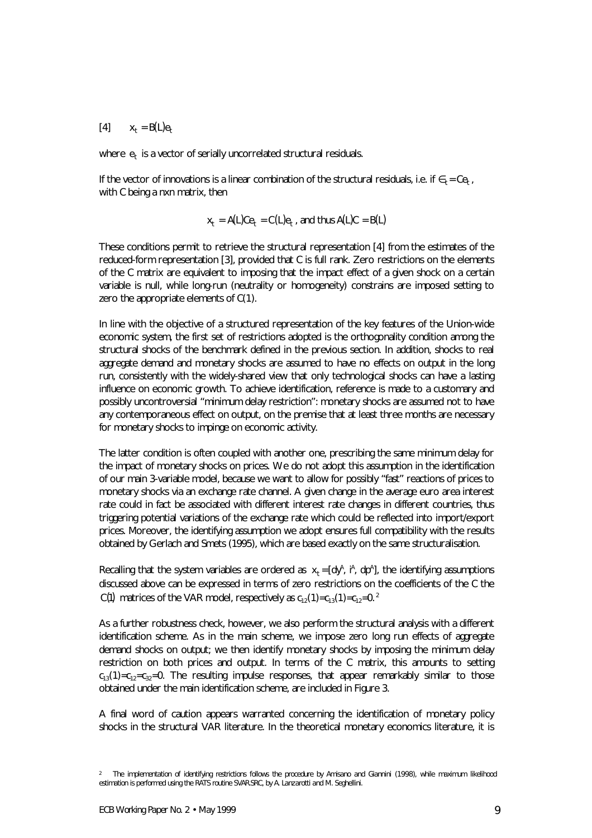$[X_t = B(L)e_t$ 

where  $e_t$  is a vector of serially uncorrelated structural residuals.

If the vector of innovations is a linear combination of the structural residuals, i.e. if  $\epsilon_t = Ce_t$ , with *C* being a nxn matrix, then

$$
x_t = A(L)Ce_t = C(L)e_t
$$
, and thus  $A(L)C = B(L)$ 

These conditions permit to retrieve the structural representation [4] from the estimates of the reduced-form representation [3], provided that *C* is full rank. Zero restrictions on the elements of the *C* matrix are equivalent to imposing that the impact effect of a given shock on a certain variable is null, while long-run (neutrality or homogeneity) constrains are imposed setting to zero the appropriate elements of *C*(*1*).

In line with the objective of a structured representation of the key features of the Union-wide economic system, the first set of restrictions adopted is the orthogonality condition among the structural shocks of the benchmark defined in the previous section. In addition, shocks to real aggregate demand and monetary shocks are assumed to have no effects on output in the long run, consistently with the widely-shared view that only technological shocks can have a lasting influence on economic growth. To achieve identification, reference is made to a customary and possibly uncontroversial "minimum delay restriction": monetary shocks are assumed not to have any contemporaneous effect on output, on the premise that at least three months are necessary for monetary shocks to impinge on economic activity.

The latter condition is often coupled with another one, prescribing the same minimum delay for the impact of monetary shocks on prices. We do not adopt this assumption in the identification of our main 3-variable model, because we want to allow for possibly "fast" reactions of prices to monetary shocks via an exchange rate channel. A given change in the average euro area interest rate could in fact be associated with different interest rate changes in different countries, thus triggering potential variations of the exchange rate which could be reflected into import/export prices. Moreover, the identifying assumption we adopt ensures full compatibility with the results obtained by Gerlach and Smets (1995), which are based exactly on the same structuralisation.

Recalling that the system variables are ordered as  $x_t = [dy^A, t^A, dp^A]$ , the identifying assumptions discussed above can be expressed in terms of zero restrictions on the coefficients of the *C* the *C*(1) matrices of the VAR model, respectively as  $c_{12}(1)=c_{13}(1)=c_{12}=0.$ <sup>2</sup>

As a further robustness check, however, we also perform the structural analysis with a different identification scheme. As in the main scheme, we impose zero long run effects of aggregate demand shocks on output; we then identify monetary shocks by imposing the minimum delay restriction on both prices and output. In terms of the *C* matrix, this amounts to setting  $c_{13}(1)=c_{12}=c_{22}=0$ . The resulting impulse responses, that appear remarkably similar to those obtained under the main identification scheme, are included in Figure 3.

A final word of caution appears warranted concerning the identification of monetary policy shocks in the structural VAR literature. In the theoretical monetary economics literature, it is

*<sup>2</sup> The implementation of identifying restrictions follows the procedure by Amisano and Giannini (1998), while maximum likelihood estimation is performed using the RATS routine SVAR.SRC, by A. Lanzarotti and M. Seghellini.*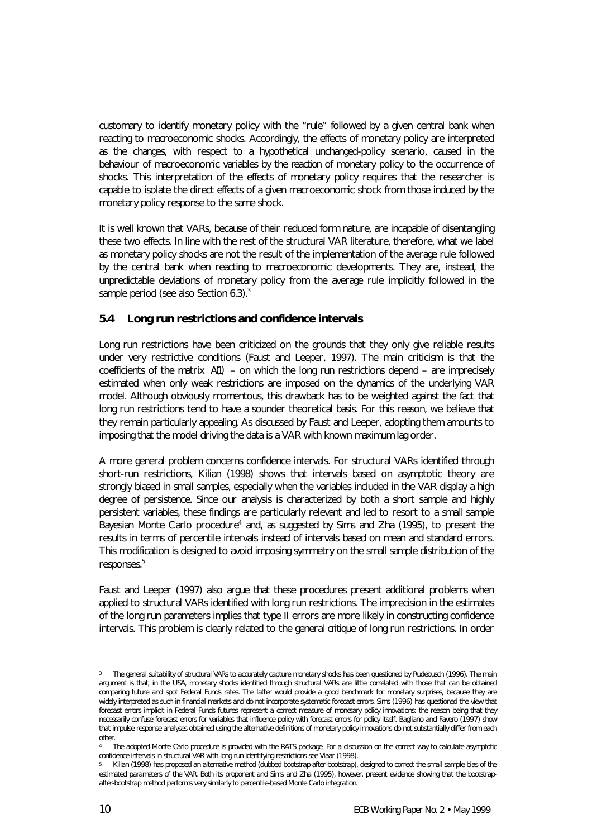customary to identify monetary policy with the "rule" followed by a given central bank when reacting to macroeconomic shocks. Accordingly, the effects of monetary policy are interpreted as the changes, with respect to a hypothetical unchanged-policy scenario, caused in the behaviour of macroeconomic variables by the *reaction* of monetary policy to the occurrence of shocks. This interpretation of the effects of monetary policy requires that the researcher is capable to isolate the direct effects of a given macroeconomic shock from those induced by the monetary policy response to the same shock.

It is well known that VARs, because of their reduced form nature, are incapable of disentangling these two effects. In line with the rest of the structural VAR literature, therefore, what we label as monetary policy shocks are not the result of the implementation of the average rule followed by the central bank when reacting to macroeconomic developments. They are, instead, the unpredictable deviations of monetary policy from the average rule implicitly followed in the sample period (see also Section 6.3).<sup>3</sup>

#### **5.4 Long run restrictions and confidence intervals**

Long run restrictions have been criticized on the grounds that they only give reliable results under very restrictive conditions (Faust and Leeper, 1997). The main criticism is that the coefficients of the matrix *A*(1) – on which the long run restrictions depend – are imprecisely estimated when only weak restrictions are imposed on the dynamics of the underlying VAR model. Although obviously momentous, this drawback has to be weighted against the fact that long run restrictions tend to have a sounder theoretical basis. For this reason, we believe that they remain particularly appealing. As discussed by Faust and Leeper, adopting them amounts to imposing that the model driving the data is a VAR with known maximum lag order.

A more general problem concerns confidence intervals. For structural VARs identified through short-run restrictions, Kilian (1998) shows that intervals based on asymptotic theory are strongly biased in small samples, especially when the variables included in the VAR display a high degree of persistence. Since our analysis is characterized by both a short sample and highly persistent variables, these findings are particularly relevant and led to resort to a small sample Bayesian Monte Carlo procedure<sup>4</sup> and, as suggested by Sims and Zha (1995), to present the results in terms of percentile intervals instead of intervals based on mean and standard errors. This modification is designed to avoid imposing symmetry on the small sample distribution of the responses.<sup>5</sup>

Faust and Leeper (1997) also argue that these procedures present additional problems when applied to structural VARs identified with long run restrictions. The imprecision in the estimates of the long run parameters implies that type II errors are more likely in constructing confidence intervals. This problem is clearly related to the general *critique* of long run restrictions. In order

*<sup>3</sup> The general suitability of structural VARs to accurately capture monetary shocks has been questioned by Rudebusch (1996). The main argument is that, in the USA, monetary shocks identified through structural VARs are little correlated with those that can be obtained comparing future and spot Federal Funds rates. The latter would provide a good benchmark for monetary surprises, because they are widely interpreted as such in financial markets and do not incorporate systematic forecast errors. Sims (1996) has questioned the view that forecast errors implicit in Federal Funds futures represent a correct measure of monetary policy innovations: the reason being that they necessarily confuse forecast errors for variables that influence policy with forecast errors for policy itself. Bagliano and Favero (1997) show that impulse response analyses obtained using the alternative definitions of monetary policy innovations do not substantially differ from each other.*

*<sup>4</sup> The adopted Monte Carlo procedure is provided with the RATS package. For a discussion on the correct way to calculate asymptotic confidence intervals in structural VAR with long run identifying restrictions see Vlaar (1998).*

*<sup>5</sup> Kilian (1998) has proposed an alternative method (dubbed bootstrap-after-bootstrap), designed to correct the small sample bias of the estimated parameters of the VAR. Both its proponent and Sims and Zha (1995), however, present evidence showing that the bootstrapafter-bootstrap method performs very similarly to percentile-based Monte Carlo integration.*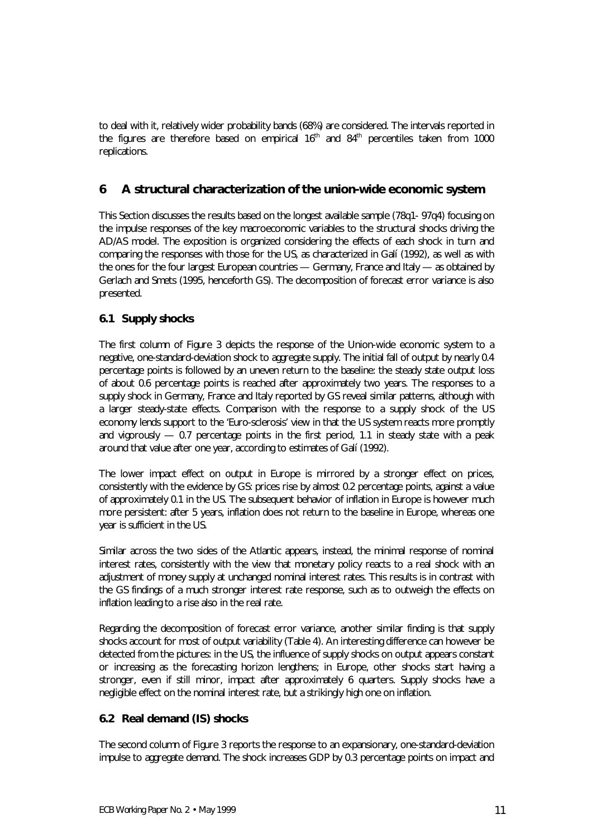to deal with it, relatively wider probability bands (68%) are considered. The intervals reported in the figures are therefore based on empirical  $16<sup>th</sup>$  and  $84<sup>th</sup>$  percentiles taken from 1000 replications.

# **6 A structural characterization of the union-wide economic system**

This Section discusses the results based on the longest available sample (78q1- 97q4) focusing on the impulse responses of the key macroeconomic variables to the structural shocks driving the AD/AS model. The exposition is organized considering the effects of each shock in turn and comparing the responses with those for the US, as characterized in Galí (1992), as well as with the ones for the four largest European countries — Germany, France and Italy — as obtained by Gerlach and Smets (1995, henceforth GS). The decomposition of forecast error variance is also presented.

### **6.1 Supply shocks**

The first column of Figure 3 depicts the response of the Union-wide economic system to a negative, one-standard-deviation shock to aggregate supply. The initial fall of output by nearly 0.4 percentage points is followed by an uneven return to the baseline: the steady state output loss of about 0.6 percentage points is reached after approximately two years. The responses to a supply shock in Germany, France and Italy reported by GS reveal similar patterns, although with a larger steady-state effects. Comparison with the response to a supply shock of the US economy lends support to the 'Euro-sclerosis' view in that the US system reacts more promptly and vigorously  $-$  0.7 percentage points in the first period, 1.1 in steady state with a peak around that value after one year, according to estimates of Galí (1992).

The lower impact effect on output in Europe is mirrored by a stronger effect on prices, consistently with the evidence by GS: prices rise by almost 0.2 percentage points, against a value of approximately 0.1 in the US. The subsequent behavior of inflation in Europe is however much more persistent: after 5 years, inflation does not return to the baseline in Europe, whereas one year is sufficient in the US.

Similar across the two sides of the Atlantic appears, instead, the minimal response of nominal interest rates, consistently with the view that monetary policy reacts to a real shock with an adjustment of money supply at unchanged nominal interest rates. This results is in contrast with the GS findings of a much stronger interest rate response, such as to outweigh the effects on inflation leading to a rise also in the real rate.

Regarding the decomposition of forecast error variance, another similar finding is that supply shocks account for most of output variability (Table 4). An interesting difference can however be detected from the pictures: in the US, the influence of supply shocks on output appears constant or increasing as the forecasting horizon lengthens; in Europe, other shocks start having a stronger, even if still minor, impact after approximately 6 quarters. Supply shocks have a negligible effect on the nominal interest rate, but a strikingly high one on inflation.

#### **6.2 Real demand (IS) shocks**

The second column of Figure 3 reports the response to an expansionary, one-standard-deviation impulse to aggregate demand. The shock increases GDP by 0.3 percentage points on impact and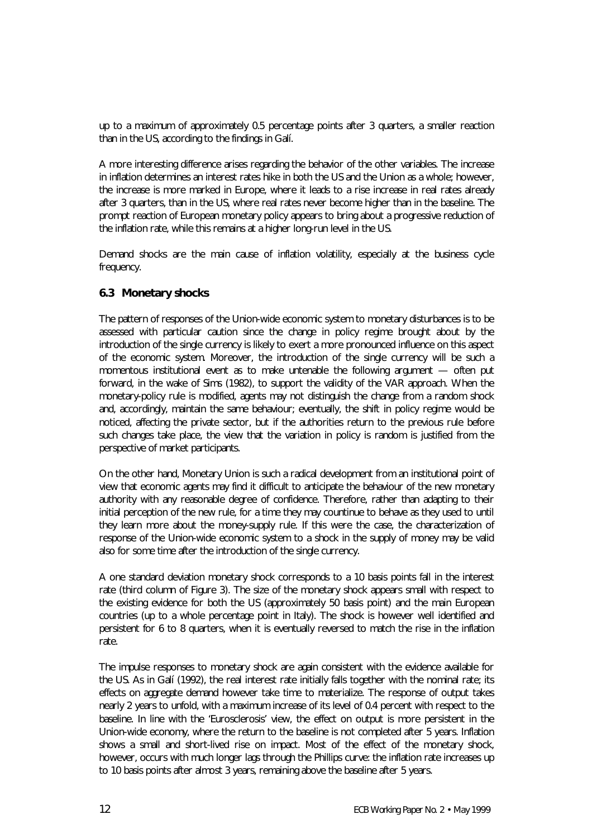up to a maximum of approximately 0.5 percentage points after 3 quarters, a smaller reaction than in the US, according to the findings in Galí.

A more interesting difference arises regarding the behavior of the other variables. The increase in inflation determines an interest rates hike in both the US and the Union as a whole; however, the increase is more marked in Europe, where it leads to a rise increase in real rates already after 3 quarters, than in the US, where real rates never become higher than in the baseline. The prompt reaction of European monetary policy appears to bring about a progressive reduction of the inflation rate, while this remains at a higher long-run level in the US.

Demand shocks are the main cause of inflation volatility, especially at the business cycle frequency.

#### **6.3 Monetary shocks**

The pattern of responses of the Union-wide economic system to monetary disturbances is to be assessed with particular caution since the change in policy regime brought about by the introduction of the single currency is likely to exert a more pronounced influence on this aspect of the economic system. Moreover, the introduction of the single currency will be such a momentous institutional event as to make untenable the following argument — often put forward, in the wake of Sims (1982), to support the validity of the VAR approach. When the monetary-policy rule is modified, agents may not distinguish the change from a random shock and, accordingly, maintain the same behaviour; eventually, the shift in policy regime would be noticed, affecting the private sector, but if the authorities return to the previous rule before such changes take place, the view that the variation in policy is random is justified from the perspective of market participants.

On the other hand, Monetary Union is such a radical development from an institutional point of view that economic agents may find it difficult to anticipate the behaviour of the new monetary authority with any reasonable degree of confidence. Therefore, rather than adapting to their initial perception of the new rule, for a time they may countinue to behave as they used to until they learn more about the money-supply rule. If this were the case, the characterization of response of the Union-wide economic system to a shock in the supply of money may be valid also for some time after the introduction of the single currency.

A one standard deviation monetary shock corresponds to a 10 basis points fall in the interest rate (third column of Figure 3). The size of the monetary shock appears small with respect to the existing evidence for both the US (approximately 50 basis point) and the main European countries (up to a whole percentage point in Italy). The shock is however well identified and persistent for 6 to 8 quarters, when it is eventually reversed to match the rise in the inflation rate.

The impulse responses to monetary shock are again consistent with the evidence available for the US. As in Galí (1992), the real interest rate initially falls together with the nominal rate; its effects on aggregate demand however take time to materialize. The response of output takes nearly 2 years to unfold, with a maximum increase of its level of 0.4 percent with respect to the baseline. In line with the 'Eurosclerosis' view, the effect on output is more persistent in the Union-wide economy, where the return to the baseline is not completed after 5 years. Inflation shows a small and short-lived rise on impact. Most of the effect of the monetary shock, however, occurs with much longer lags through the Phillips curve: the inflation rate increases up to 10 basis points after almost 3 years, remaining above the baseline after 5 years.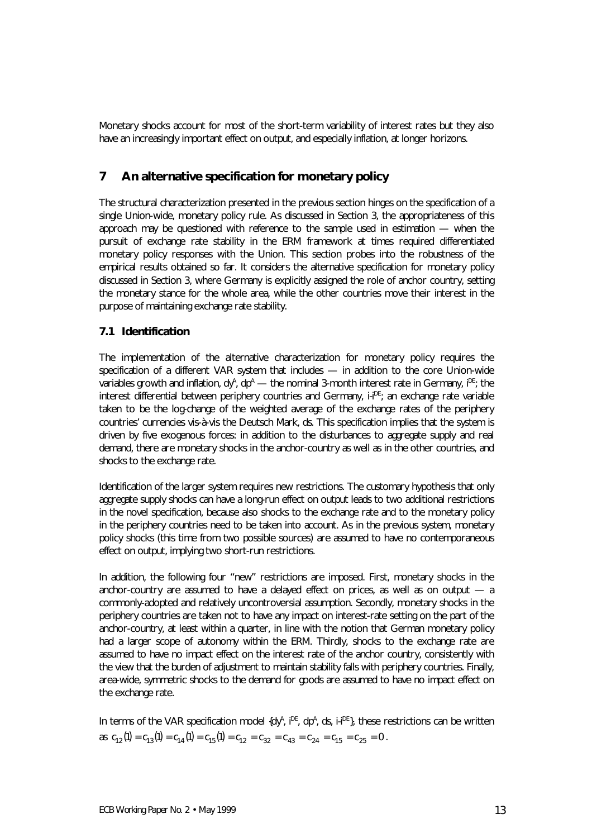Monetary shocks account for most of the short-term variability of interest rates but they also have an increasingly important effect on output, and especially inflation, at longer horizons.

### **7 An alternative specification for monetary policy**

The structural characterization presented in the previous section hinges on the specification of a single Union-wide, monetary policy rule. As discussed in Section 3, the appropriateness of this approach may be questioned with reference to the sample used in estimation — when the pursuit of exchange rate stability in the ERM framework at times required differentiated monetary policy responses with the Union. This section probes into the robustness of the empirical results obtained so far. It considers the alternative specification for monetary policy discussed in Section 3, where Germany is explicitly assigned the role of anchor country, setting the monetary stance for the whole area, while the other countries move their interest in the purpose of maintaining exchange rate stability.

#### **7.1 Identification**

The implementation of the alternative characterization for monetary policy requires the specification of a different VAR system that includes — in addition to the core Union-wide variables growth and inflation, dy<sup>a</sup>, d $p^{\text{A}}$  — the nominal 3-month interest rate in Germany,  $l^{\text{DE}}$ ; the interest differential between periphery countries and Germany, *i-i<sup>pE</sup>*; an exchange rate variable taken to be the log-change of the weighted average of the exchange rates of the periphery countries' currencies vis-à-vis the Deutsch Mark, d*s*. This specification implies that the system is driven by five exogenous forces: in addition to the disturbances to aggregate supply and real demand, there are monetary shocks in the anchor-country as well as in the other countries, and shocks to the exchange rate.

Identification of the larger system requires new restrictions. The customary hypothesis that only aggregate supply shocks can have a long-run effect on output leads to two additional restrictions in the novel specification, because also shocks to the exchange rate and to the monetary policy in the periphery countries need to be taken into account. As in the previous system, monetary policy shocks (this time from two possible sources) are assumed to have no contemporaneous effect on output, implying two short-run restrictions.

In addition, the following four "new" restrictions are imposed. First, monetary shocks in the anchor-country are assumed to have a delayed effect on prices, as well as on output — a commonly-adopted and relatively uncontroversial assumption. Secondly, monetary shocks in the periphery countries are taken not to have any impact on interest-rate setting on the part of the anchor-country, at least within a quarter, in line with the notion that German monetary policy had a larger scope of autonomy within the ERM. Thirdly, shocks to the exchange rate are assumed to have no impact effect on the interest rate of the anchor country, consistently with the view that the burden of adjustment to maintain stability falls with periphery countries. Finally, area-wide, symmetric shocks to the demand for goods are assumed to have no impact effect on the exchange rate.

In terms of the VAR specification model  $\{dy^A, i^{DE}, dp^A, ds, i^{DE}\}$ , these restrictions can be written as  $c_{12}(1) = c_{13}(1) = c_{14}(1) = c_{15}(1) = c_{12} = c_{32} = c_{43} = c_{24} = c_{15} = c_{25} = 0$ .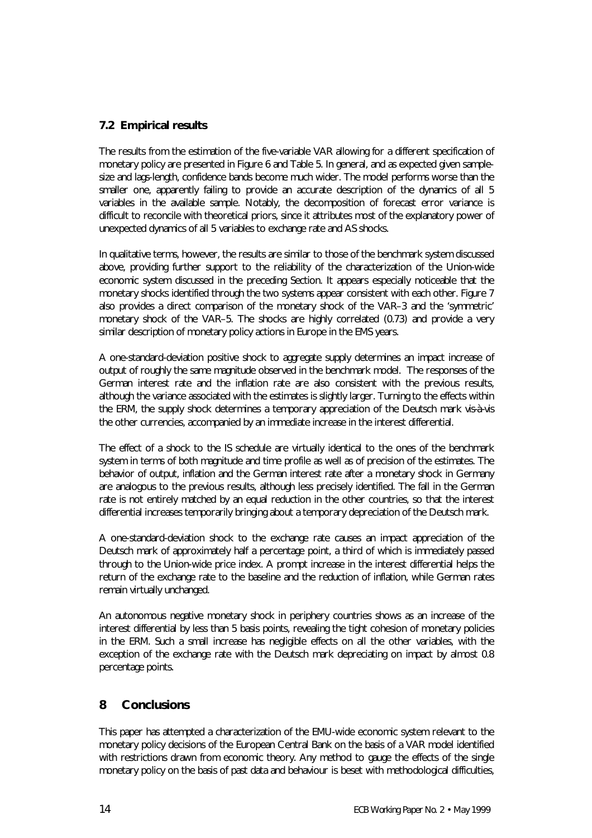### **7.2 Empirical results**

The results from the estimation of the five-variable VAR allowing for a different specification of monetary policy are presented in Figure 6 and Table 5. In general, and as expected given samplesize and lags-length, confidence bands become much wider. The model performs worse than the smaller one, apparently failing to provide an accurate description of the dynamics of all 5 variables in the available sample. Notably, the decomposition of forecast error variance is difficult to reconcile with theoretical priors, since it attributes most of the explanatory power of unexpected dynamics of all 5 variables to exchange rate and AS shocks.

In qualitative terms, however, the results are similar to those of the benchmark system discussed above, providing further support to the reliability of the characterization of the Union-wide economic system discussed in the preceding Section. It appears especially noticeable that the monetary shocks identified through the two systems appear consistent with each other. Figure 7 also provides a direct comparison of the monetary shock of the VAR–3 and the 'symmetric' monetary shock of the VAR–5. The shocks are highly correlated (0.73) and provide a very similar description of monetary policy actions in Europe in the EMS years.

A one-standard-deviation positive shock to aggregate supply determines an impact increase of output of roughly the same magnitude observed in the benchmark model. The responses of the German interest rate and the inflation rate are also consistent with the previous results, although the variance associated with the estimates is slightly larger. Turning to the effects within the ERM, the supply shock determines a temporary appreciation of the Deutsch mark *vis-à-vis* the other currencies, accompanied by an immediate increase in the interest differential.

The effect of a shock to the IS schedule are virtually identical to the ones of the benchmark system in terms of both magnitude and time profile as well as of precision of the estimates. The behavior of output, inflation and the German interest rate after a monetary shock in Germany are analogous to the previous results, although less precisely identified. The fall in the German rate is not entirely matched by an equal reduction in the other countries, so that the interest differential increases temporarily bringing about a temporary depreciation of the Deutsch mark.

A one-standard-deviation shock to the exchange rate causes an impact appreciation of the Deutsch mark of approximately half a percentage point, a third of which is immediately passed through to the Union-wide price index. A prompt increase in the interest differential helps the return of the exchange rate to the baseline and the reduction of inflation, while German rates remain virtually unchanged.

An autonomous negative monetary shock in periphery countries shows as an increase of the interest differential by less than 5 basis points, revealing the tight cohesion of monetary policies in the ERM. Such a small increase has negligible effects on all the other variables, with the exception of the exchange rate with the Deutsch mark depreciating on impact by almost 0.8 percentage points.

# **8 Conclusions**

This paper has attempted a characterization of the EMU-wide economic system relevant to the monetary policy decisions of the European Central Bank on the basis of a VAR model identified with restrictions drawn from economic theory. Any method to gauge the effects of the single monetary policy on the basis of past data and behaviour is beset with methodological difficulties,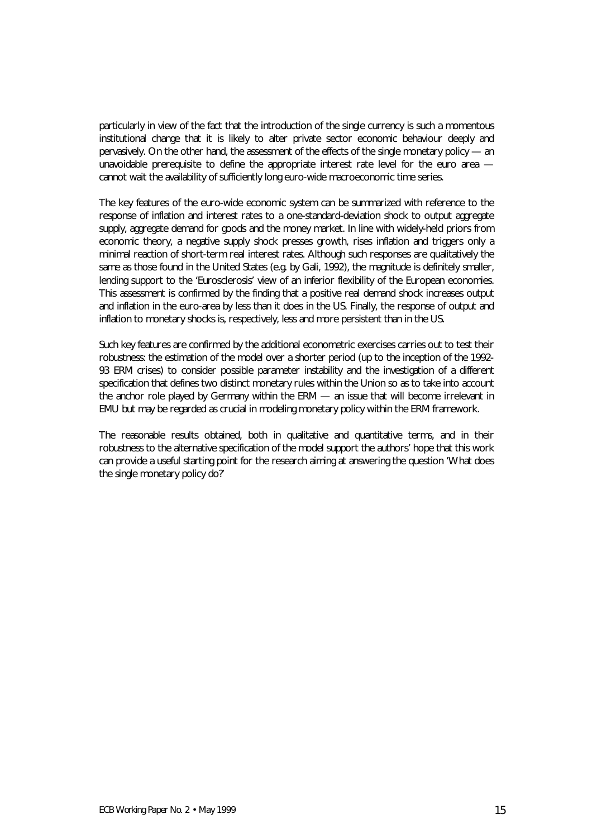particularly in view of the fact that the introduction of the single currency is such a momentous institutional change that it is likely to alter private sector economic behaviour deeply and pervasively. On the other hand, the assessment of the effects of the single monetary policy — an unavoidable prerequisite to define the appropriate interest rate level for the euro area cannot wait the availability of sufficiently long euro-wide macroeconomic time series.

The key features of the euro-wide economic system can be summarized with reference to the response of inflation and interest rates to a one-standard-deviation shock to output aggregate supply, aggregate demand for goods and the money market. In line with widely-held priors from economic theory, a negative supply shock presses growth, rises inflation and triggers only a minimal reaction of short-term real interest rates. Although such responses are qualitatively the same as those found in the United States (e.g. by Gali, 1992), the magnitude is definitely smaller, lending support to the 'Eurosclerosis' view of an inferior flexibility of the European economies. This assessment is confirmed by the finding that a positive real demand shock increases output and inflation in the euro-area by less than it does in the US. Finally, the response of output and inflation to monetary shocks is, respectively, less and more persistent than in the US.

Such key features are confirmed by the additional econometric exercises carries out to test their robustness: the estimation of the model over a shorter period (up to the inception of the 1992- 93 ERM crises) to consider possible parameter instability and the investigation of a different specification that defines two distinct monetary rules within the Union so as to take into account the anchor role played by Germany within the ERM — an issue that will become irrelevant in EMU but may be regarded as crucial in modeling monetary policy within the ERM framework.

The reasonable results obtained, both in qualitative and quantitative terms, and in their robustness to the alternative specification of the model support the authors' hope that this work can provide a useful starting point for the research aiming at answering the question 'What does the single monetary policy do?'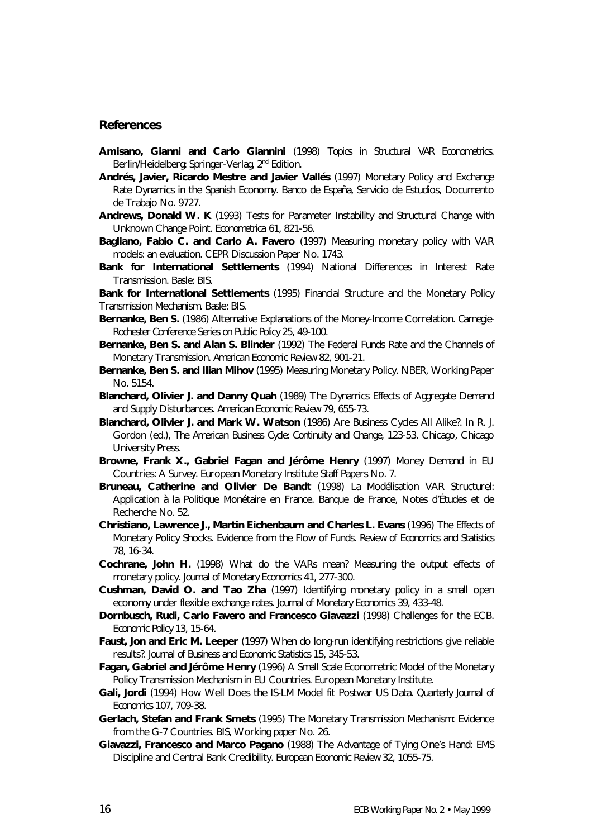#### **References**

- **Amisano, Gianni and Carlo Giannini** (1998) *Topics in Structural VAR Econometrics*. Berlin/Heidelberg: Springer-Verlag, 2<sup>nd</sup> Edition.
- **Andrés, Javier, Ricardo Mestre and Javier Vallés** (1997) Monetary Policy and Exchange Rate Dynamics in the Spanish Economy. Banco de España, Servicio de Estudios, Documento de Trabajo No. 9727.
- **Andrews, Donald W. K** (1993) Tests for Parameter Instability and Structural Change with Unknown Change Point. *Econometrica* 61, 821-56.
- **Bagliano, Fabio C. and Carlo A. Favero** (1997) Measuring monetary policy with VAR models: an evaluation. CEPR Discussion Paper No. 1743.
- **Bank for International Settlements** (1994) National Differences in Interest Rate Transmission. Basle: BIS.

**Bank for International Settlements** (1995) Financial Structure and the Monetary Policy Transmission Mechanism. Basle: BIS.

- **Bernanke, Ben S.** (1986) Alternative Explanations of the Money-Income Correlation. *Carnegie-Rochester Conference Series on Public Policy* 25, 49-100.
- **Bernanke, Ben S. and Alan S. Blinder** (1992) The Federal Funds Rate and the Channels of Monetary Transmission. *American Economic Review* 82, 901-21.
- **Bernanke, Ben S. and Ilian Mihov** (1995) Measuring Monetary Policy. NBER, Working Paper No. 5154.
- **Blanchard, Olivier J. and Danny Quah** (1989) The Dynamics Effects of Aggregate Demand and Supply Disturbances. *American Economic Review* 79, 655-73.
- **Blanchard, Olivier J. and Mark W. Watson** (1986) Are Business Cycles All Alike?. In R. J. Gordon (ed.), *The American Business Cycle: Continuity and Change,* 123-53. Chicago, Chicago University Press.
- **Browne, Frank X., Gabriel Fagan and Jérôme Henry** (1997) Money Demand in EU Countries: A Survey. European Monetary Institute Staff Papers No. 7.
- **Bruneau, Catherine and Olivier De Bandt** (1998) La Modélisation VAR Structurel: Application à la Politique Monétaire en France. Banque de France, Notes d'Études et de Recherche No. 52.
- **Christiano, Lawrence J., Martin Eichenbaum and Charles L. Evans** (1996) The Effects of Monetary Policy Shocks. Evidence from the Flow of Funds. *Review of Economics and Statistics* 78, 16-34.
- **Cochrane, John H.** (1998) What do the VARs mean? Measuring the output effects of monetary policy. *Journal of Monetary Economics* 41, 277-300.
- **Cushman, David O. and Tao Zha** (1997) Identifying monetary policy in a small open economy under flexible exchange rates. *Journal of Monetary Economics* 39, 433-48.
- **Dornbusch, Rudi, Carlo Favero and Francesco Giavazzi** (1998) Challenges for the ECB. *Economic Policy* 13, 15-64.
- **Faust, Jon and Eric M. Leeper** (1997) When do long-run identifying restrictions give reliable results?. *Journal of Business and Economic Statistics* 15, 345-53.
- **Fagan, Gabriel and Jérôme Henry** (1996) A Small Scale Econometric Model of the Monetary Policy Transmission Mechanism in EU Countries. European Monetary Institute.
- **Gali, Jordi** (1994) How Well Does the IS-LM Model fit Postwar US Data. *Quarterly Journal of Economics* 107, 709-38.
- **Gerlach, Stefan and Frank Smets** (1995) The Monetary Transmission Mechanism: Evidence from the G-7 Countries. BIS, Working paper No. 26.
- **Giavazzi, Francesco and Marco Pagano** (1988) The Advantage of Tying One's Hand: EMS Discipline and Central Bank Credibility. *European Economic Review* 32, 1055-75.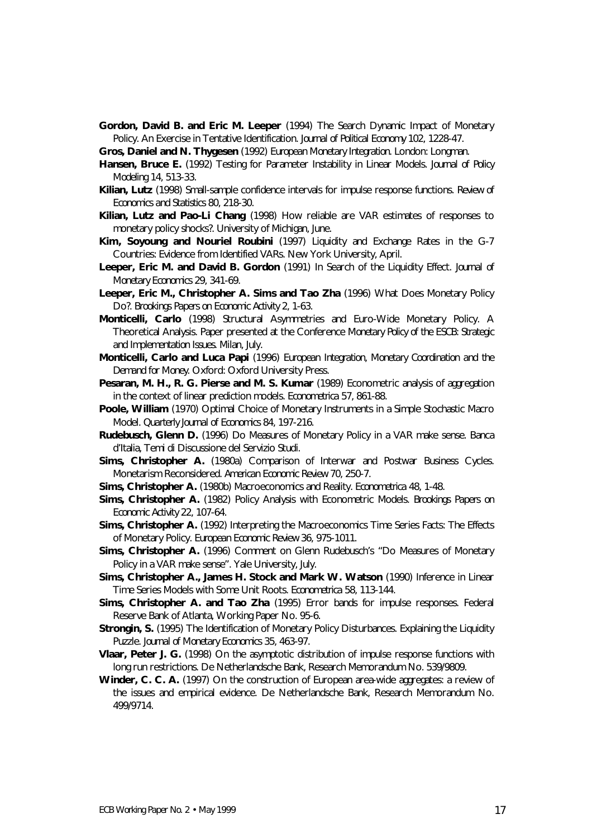**Gordon, David B. and Eric M. Leeper** (1994) The Search Dynamic Impact of Monetary Policy. An Exercise in Tentative Identification. *Journal of Political Economy* 102, 1228-47.

**Gros, Daniel and N. Thygesen** (1992) *European Monetary Integration*. London: Longman.

- **Hansen, Bruce E.** (1992) Testing for Parameter Instability in Linear Models. *Journal of Policy Modeling* 14, 513-33.
- **Kilian, Lutz** (1998) Small-sample confidence intervals for impulse response functions. *Review of Economics and Statistics* 80, 218-30.
- **Kilian, Lutz and Pao-Li Chang** (1998) How reliable are VAR estimates of responses to monetary policy shocks?. University of Michigan, June.
- **Kim, Soyoung and Nouriel Roubini** (1997) Liquidity and Exchange Rates in the G-7 Countries: Evidence from Identified VARs. New York University, April.
- **Leeper, Eric M. and David B. Gordon** (1991) In Search of the Liquidity Effect. *Journal of Monetary Economics* 29, 341-69.
- **Leeper, Eric M., Christopher A. Sims and Tao Zha** (1996) What Does Monetary Policy Do?. *Brookings Papers on Economic Activity* 2, 1-63.
- **Monticelli, Carlo** (1998) Structural Asymmetries and Euro-Wide Monetary Policy. A Theoretical Analysis. Paper presented at the Conference *Monetary Policy of the ESCB: Strategic and Implementation Issues*. Milan, July.
- **Monticelli, Carlo and Luca Papi** (1996) *European Integration, Monetary Coordination and the Demand for Money*. Oxford: Oxford University Press.
- **Pesaran, M. H., R. G. Pierse and M. S. Kumar** (1989) Econometric analysis of aggregation in the context of linear prediction models. *Econometrica* 57, 861-88.
- **Poole, William** (1970) Optimal Choice of Monetary Instruments in a Simple Stochastic Macro Model. *Quarterly Journal of Economics* 84, 197-216.
- **Rudebusch, Glenn D.** (1996) Do Measures of Monetary Policy in a VAR make sense. Banca d'Italia, Temi di Discussione del Servizio Studi.
- **Sims, Christopher A.** (1980a) Comparison of Interwar and Postwar Business Cycles. Monetarism Reconsidered. *American Economic Review* 70, 250-7.
- **Sims, Christopher A.** (1980b) Macroeconomics and Reality. *Econometrica* 48, 1-48.
- **Sims, Christopher A.** (1982) Policy Analysis with Econometric Models. *Brookings Papers on Economic Activity* 22, 107-64.
- **Sims, Christopher A.** (1992) Interpreting the Macroeconomics Time Series Facts: The Effects of Monetary Policy. *European Economic Review* 36, 975-1011.
- **Sims, Christopher A.** (1996) Comment on Glenn Rudebusch's "Do Measures of Monetary Policy in a VAR make sense". Yale University, July.
- **Sims, Christopher A., James H. Stock and Mark W. Watson** (1990) Inference in Linear Time Series Models with Some Unit Roots. *Econometrica* 58, 113-144.
- **Sims, Christopher A. and Tao Zha** (1995) Error bands for impulse responses. Federal Reserve Bank of Atlanta, Working Paper No. 95-6.
- **Strongin, S.** (1995) The Identification of Monetary Policy Disturbances. Explaining the Liquidity Puzzle. *Journal of Monetary Economics* 35, 463-97.
- **Vlaar, Peter J. G.** (1998) On the asymptotic distribution of impulse response functions with long run restrictions. De Netherlandsche Bank, Research Memorandum No. 539/9809.
- **Winder, C. C. A.** (1997) On the construction of European area-wide aggregates: a review of the issues and empirical evidence. De Netherlandsche Bank, Research Memorandum No. 499/9714.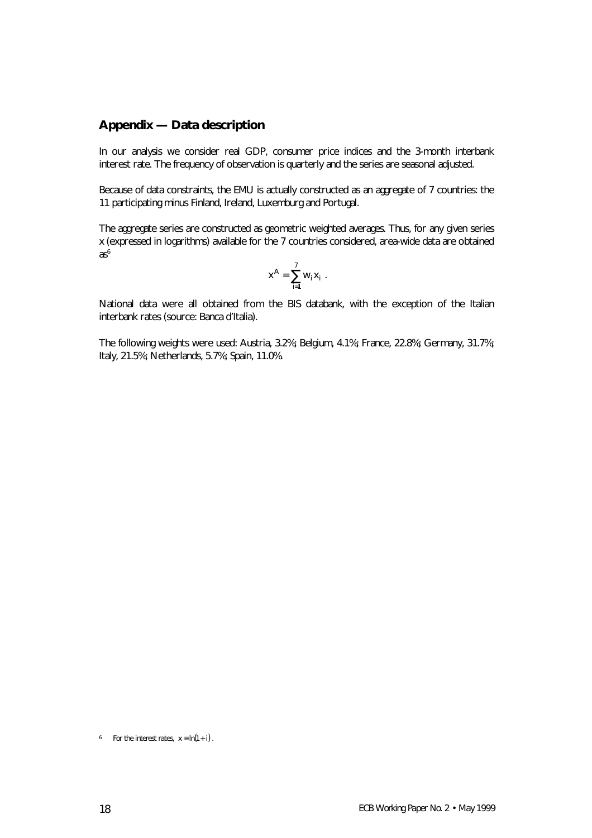#### **Appendix — Data description**

In our analysis we consider real GDP, consumer price indices and the 3-month interbank interest rate. The frequency of observation is quarterly and the series are seasonal adjusted.

Because of data constraints, the EMU is actually constructed as an aggregate of 7 countries: the 11 participating minus Finland, Ireland, Luxemburg and Portugal.

The aggregate series are constructed as geometric weighted averages. Thus, for any given series *x* (expressed in logarithms) available for the 7 countries considered, area-wide data are obtained  $as<sup>6</sup>$ 

$$
x^A = \sum_{i=1}^7 w_i x_i.
$$

National data were all obtained from the BIS databank, with the exception of the Italian interbank rates (source: Banca d'Italia).

The following weights were used: Austria, 3.2%; Belgium, 4.1%; France, 22.8%; Germany, 31.7%; Italy, 21.5%; Netherlands, 5.7%; Spain, 11.0%.

*6 For the interest rates,*  $x \equiv \ln(1 + i)$ .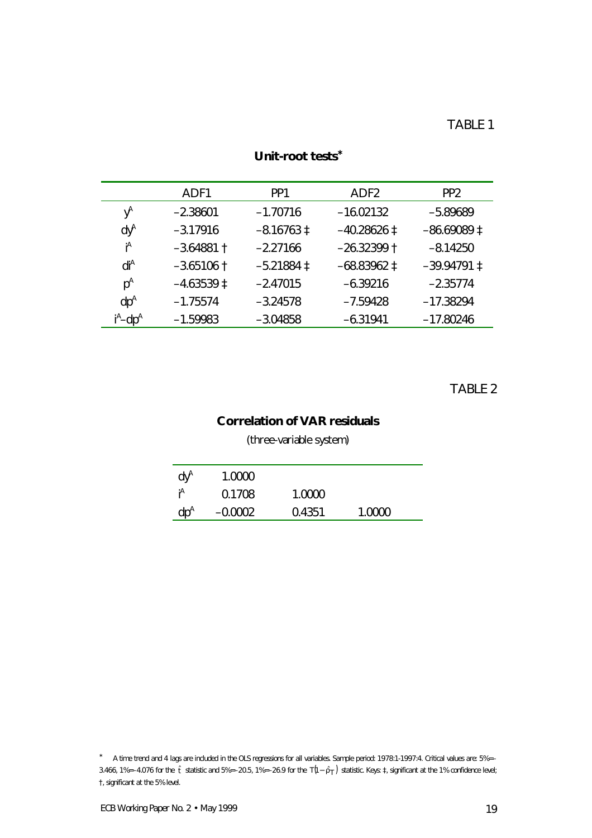|                                     | ADF1                  | PP <sub>1</sub> | ADF <sub>2</sub>       | PP <sub>2</sub>        |
|-------------------------------------|-----------------------|-----------------|------------------------|------------------------|
| $\mathsf{y}^{\mathsf{A}}$           | $-2.38601$            | $-1.70716$      | $-16.02132$            | $-5.89689$             |
| $\mathsf{d}\mathsf{y}^{\mathsf{A}}$ | $-3.17916$            | $-8.16763 \pm$  | $-40.28626 \downarrow$ | $-86.69089 \downarrow$ |
| Ά                                   | $-3.64881$ †          | $-2.27166$      | $-26.32399$ †          | $-8.14250$             |
| $d^{A}$                             | $-3.65106$ †          | $-5.21884 \pm$  | $-68.83962 \pm$        | $-39.94791 \downarrow$ |
| $p^A$                               | $-4.63539 \downarrow$ | $-2.47015$      | $-6.39216$             | $-2.35774$             |
| $dp^A$                              | $-1.75574$            | $-3.24578$      | $-7.59428$             | $-17.38294$            |
| $i^A$ –d $p^A$                      | $-1.59983$            | $-3.04858$      | $-6.31941$             | $-17.80246$            |

# **Unit-root tests**<sup>∗</sup>

TABLE 2

# **Correlation of VAR residuals**

(three-variable system)

| $dV^A$ | 1.0000    |        |        |  |
|--------|-----------|--------|--------|--|
|        | 0.1708    | 1.0000 |        |  |
| $dp^4$ | $-0.0002$ | 0.4351 | 1 0000 |  |

*<sup>\*</sup> A time trend and 4 lags are included in the OLS regressions for all variables. Sample period: 1978:1-1997:4. Critical values are: 5%=–* 3.466, 1%=–4.076 for the  $\hat{i}$  statistic and 5%=–20.5, 1%=–26.9 for the  $T(1-\hat{r}_T)$  statistic. Keys:  $\hat{t}$ , significant at the 1% confidence level; *†, significant at the 5% level.*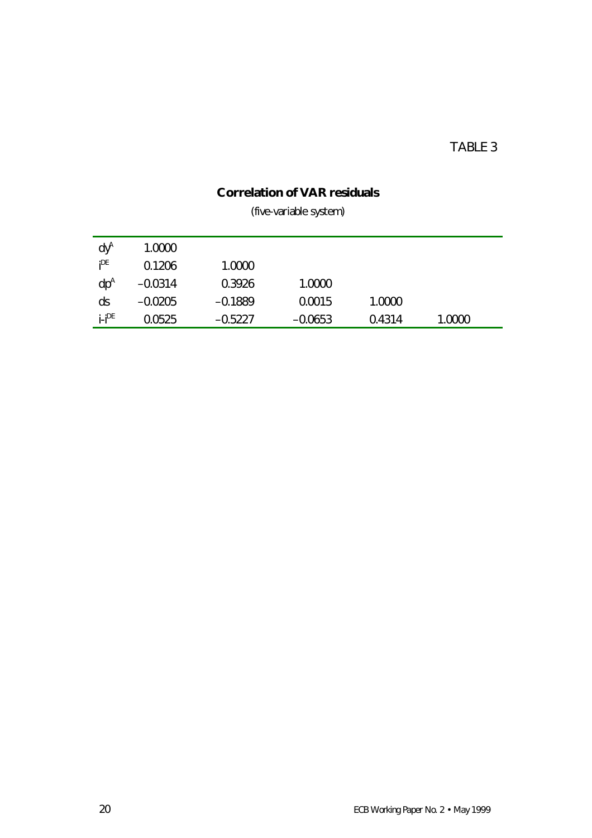# TABLE 3

# **Correlation of VAR residuals**

(five-variable system)

| $dV^A$      | 1.0000    |           |           |        |        |  |
|-------------|-----------|-----------|-----------|--------|--------|--|
| $P^E$       | 0.1206    | 1.0000    |           |        |        |  |
| $dp^A$      | $-0.0314$ | 0.3926    | 1.0000    |        |        |  |
| ds          | $-0.0205$ | $-0.1889$ | 0.0015    | 1.0000 |        |  |
| $i$ - $P^E$ | 0.0525    | $-0.5227$ | $-0.0653$ | 0.4314 | 1.0000 |  |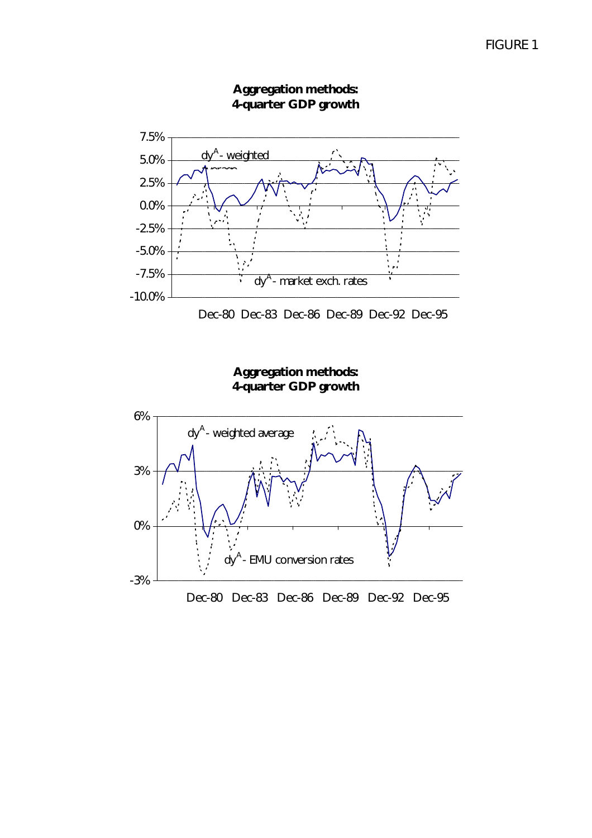

**Aggregation methods: 4-quarter GDP growth**

Dec-80 Dec-83 Dec-86 Dec-89 Dec-92 Dec-95

**Aggregation methods: 4-quarter GDP growth**

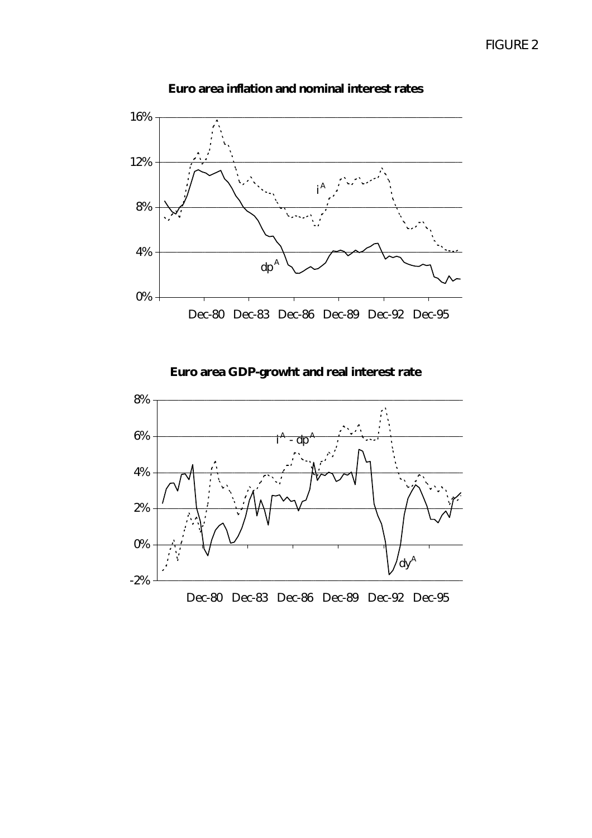

**Euro area inflation and nominal interest rates**

**Euro area GDP-growht and real interest rate**

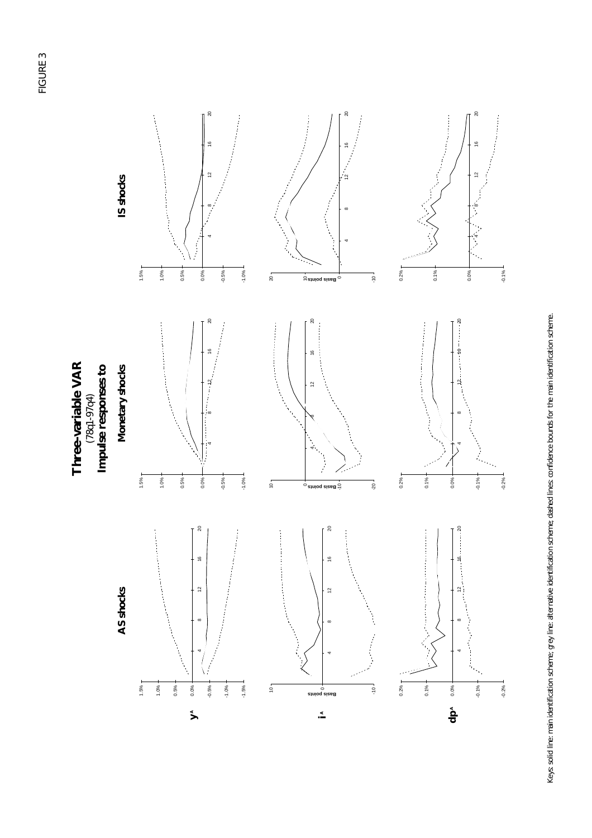



Keys: solid line: main identification scheme; grey line: alternative identification scheme; dashed lines: confidence bounds for the main identification scheme. Keys: solid line: main identification scheme; grey line: alternative identification scheme; dashed lines: confidence bounds for the main identification scheme.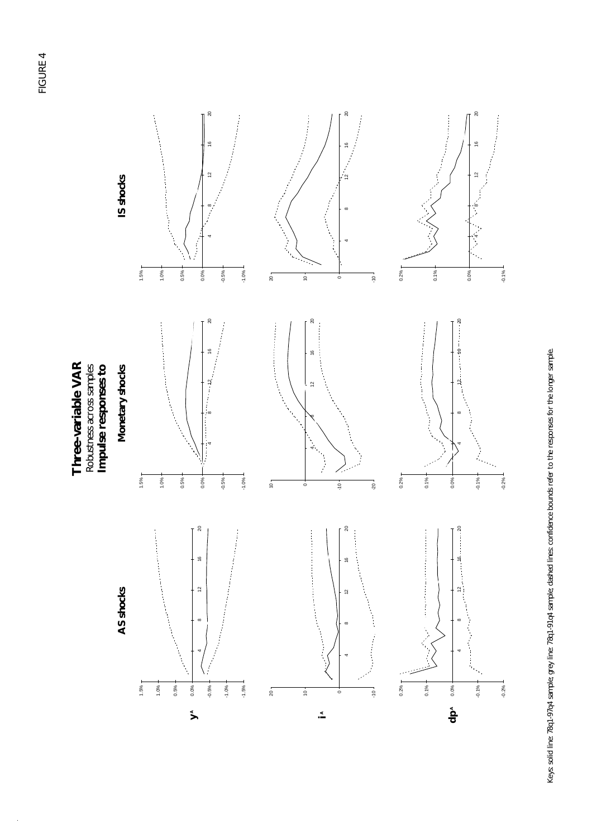



Keys: solid line: 78q1-97q4 sample: grey line: 78q1-91q4 sample; dashed lines: confidence bounds refer to the responses for the longer sample. Keys: solid line: 78q1-97q4 sample; grey line: 78q1-91q4 sample; dashed lines: confidence bounds refer to the responses for the longer sample.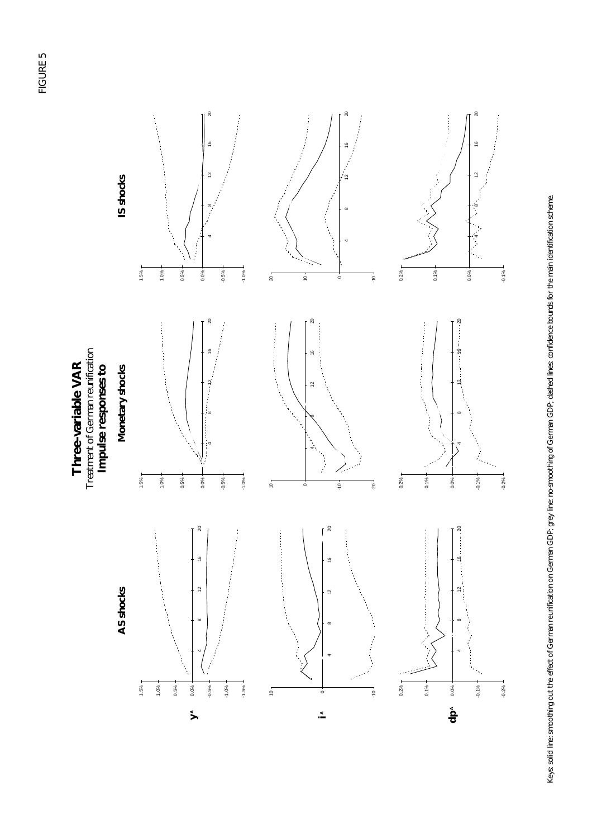



Keys: solid line: smoothing out the effect of German reunification on German GDP; grey line: mo-smoothing of German GDP; dashed lines: confidence bounds for the main identification scheme. Keys: solid line: smoothing out the effect of German reunification on German GDP; grey line: no-smoothing of German GDP; dashed lines: confidence bounds for the main identification scheme.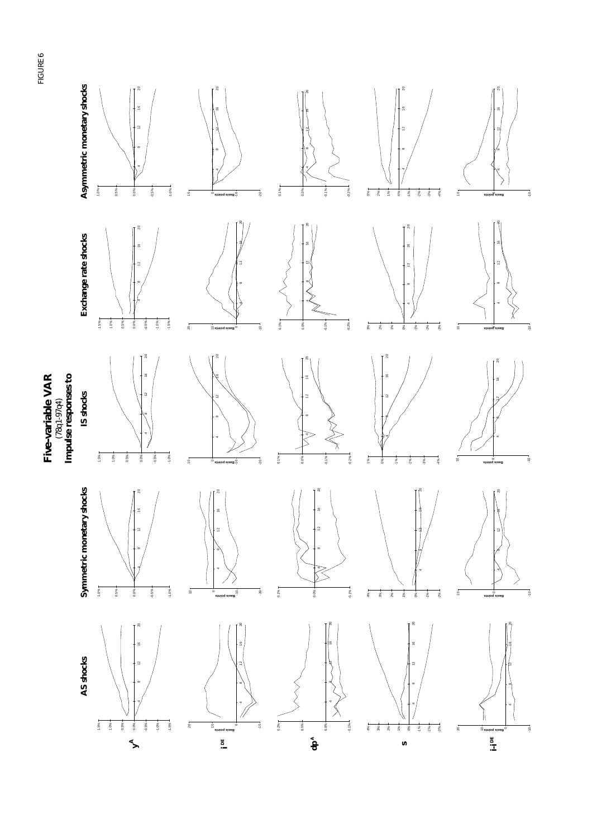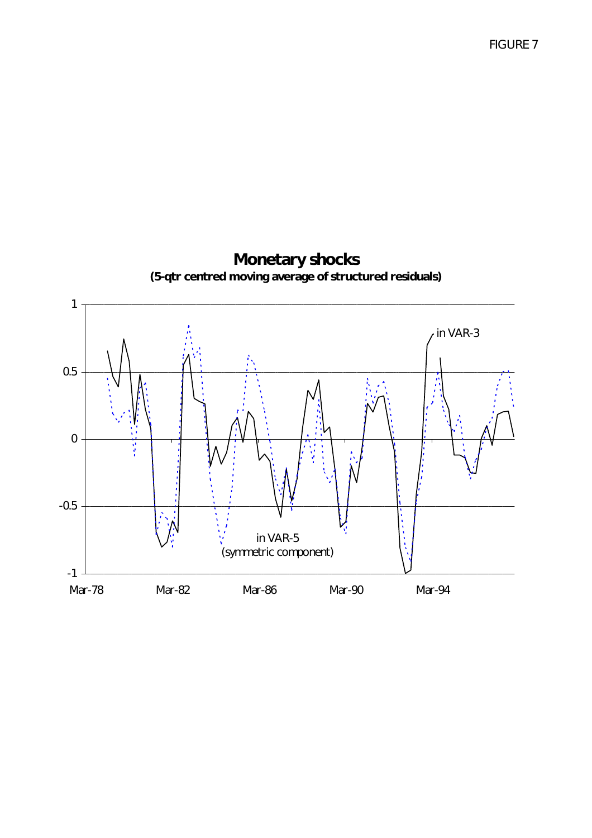**Monetary shocks (5-qtr centred moving average of structured residuals)** -1 -0.5 0 0.5 1 Mar-78 Mar-82 Mar-86 Mar-90 Mar-94 in VAR-3 in VAR-5 (symmetric component)

FIGURE 7